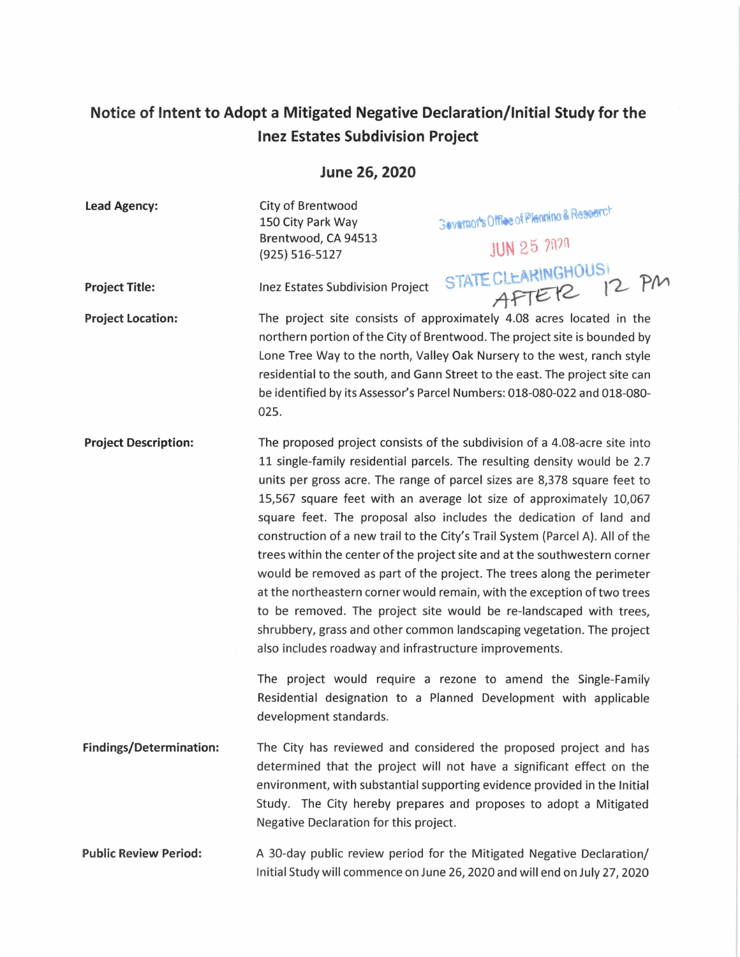## **Notice of Intent to Adopt a Mitigated Negative Declaration/Initial Study for the Inez Estates Subdivision Project**

**June 26, 2020** 

**Lead Agency:** 

City of Brentwood 150 City Park Way Brentwood, CA 94513 (925) 516-5127

Inez Estates Subdivision Project

3 evernor's Office of Plenning & Research

**JUN 25 2020** 

STATE CLEARINGHOUS<sup>(</sup>

 $A$ FTER  $12$  PM

**Project Title:** 

**Project Location:** 

The project site consists of approximately 4.08 acres located in the northern portion of the City of Brentwood. The project site is bounded by Lone Tree Way to the north, Valley Oak Nursery to the west, ranch style residential to the south, and Gann Street to the east. The project site can be identified by its Assessor's Parcel Numbers: 018-080-022 and 018-080- 025.

**Project Description:**  The proposed project consists of the subdivision of a 4.08-acre site into 11 single-family residential parcels. The resulting density would be 2.7 units per gross acre. The range of parcel sizes are 8,378 square feet to 15,567 square feet with an average lot size of approximately 10,067 square feet. The proposal also includes the dedication of land and construction of a new trail to the City's Trail System {Parcel A). All of the trees within the center of the project site and at the southwestern corner would be removed as part of the project. The trees along the perimeter at the northeastern corner would remain, with the exception of two trees to be removed. The project site would be re-landscaped with trees, shrubbery, grass and other common landscaping vegetation. The project also includes roadway and infrastructure improvements.

> The project would require a rezone to amend the Single-Family Residential designation to a Planned Development with applicable development standards.

- **Findings/Determination:**  The City has reviewed and considered the proposed project and has determined that the project will not have a significant effect on the environment, with substantial supporting evidence provided in the Initial Study. The City hereby prepares and proposes to adopt a Mitigated Negative Declaration for this project.
- **Public Review Period:**  A 30-day public review period for the Mitigated Negative Declaration/ Initial Study will commence on June 26, 2020 and will end on July 27, 2020